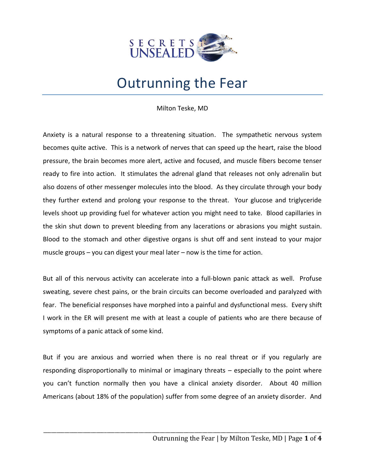

## Outrunning the Fear

Milton Teske, MD

Anxiety is a natural response to a threatening situation. The sympathetic nervous system becomes quite active. This is a network of nerves that can speed up the heart, raise the blood pressure, the brain becomes more alert, active and focused, and muscle fibers become tenser ready to fire into action. It stimulates the adrenal gland that releases not only adrenalin but also dozens of other messenger molecules into the blood. As they circulate through your body they further extend and prolong your response to the threat. Your glucose and triglyceride levels shoot up providing fuel for whatever action you might need to take. Blood capillaries in the skin shut down to prevent bleeding from any lacerations or abrasions you might sustain. Blood to the stomach and other digestive organs is shut off and sent instead to your major muscle groups – you can digest your meal later – now is the time for action.

But all of this nervous activity can accelerate into a full-blown panic attack as well. Profuse sweating, severe chest pains, or the brain circuits can become overloaded and paralyzed with fear. The beneficial responses have morphed into a painful and dysfunctional mess. Every shift I work in the ER will present me with at least a couple of patients who are there because of symptoms of a panic attack of some kind.

But if you are anxious and worried when there is no real threat or if you regularly are responding disproportionally to minimal or imaginary threats – especially to the point where you can't function normally then you have a clinical anxiety disorder. About 40 million Americans (about 18% of the population) suffer from some degree of an anxiety disorder. And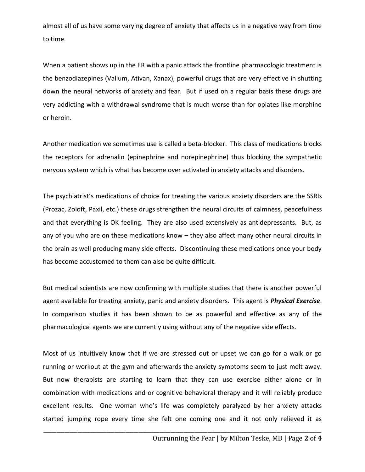almost all of us have some varying degree of anxiety that affects us in a negative way from time to time.

When a patient shows up in the ER with a panic attack the frontline pharmacologic treatment is the benzodiazepines (Valium, Ativan, Xanax), powerful drugs that are very effective in shutting down the neural networks of anxiety and fear. But if used on a regular basis these drugs are very addicting with a withdrawal syndrome that is much worse than for opiates like morphine or heroin.

Another medication we sometimes use is called a beta-blocker. This class of medications blocks the receptors for adrenalin (epinephrine and norepinephrine) thus blocking the sympathetic nervous system which is what has become over activated in anxiety attacks and disorders.

The psychiatrist's medications of choice for treating the various anxiety disorders are the SSRIs (Prozac, Zoloft, Paxil, etc.) these drugs strengthen the neural circuits of calmness, peacefulness and that everything is OK feeling. They are also used extensively as antidepressants. But, as any of you who are on these medications know – they also affect many other neural circuits in the brain as well producing many side effects. Discontinuing these medications once your body has become accustomed to them can also be quite difficult.

But medical scientists are now confirming with multiple studies that there is another powerful agent available for treating anxiety, panic and anxiety disorders. This agent is *Physical Exercise*. In comparison studies it has been shown to be as powerful and effective as any of the pharmacological agents we are currently using without any of the negative side effects.

Most of us intuitively know that if we are stressed out or upset we can go for a walk or go running or workout at the gym and afterwards the anxiety symptoms seem to just melt away. But now therapists are starting to learn that they can use exercise either alone or in combination with medications and or cognitive behavioral therapy and it will reliably produce excellent results. One woman who's life was completely paralyzed by her anxiety attacks started jumping rope every time she felt one coming one and it not only relieved it as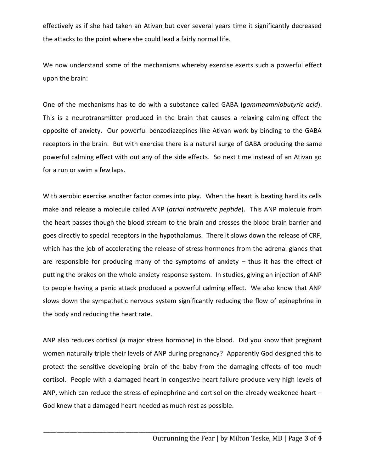effectively as if she had taken an Ativan but over several years time it significantly decreased the attacks to the point where she could lead a fairly normal life.

We now understand some of the mechanisms whereby exercise exerts such a powerful effect upon the brain:

One of the mechanisms has to do with a substance called GABA (*gammaamniobutyric acid*). This is a neurotransmitter produced in the brain that causes a relaxing calming effect the opposite of anxiety. Our powerful benzodiazepines like Ativan work by binding to the GABA receptors in the brain. But with exercise there is a natural surge of GABA producing the same powerful calming effect with out any of the side effects. So next time instead of an Ativan go for a run or swim a few laps.

With aerobic exercise another factor comes into play. When the heart is beating hard its cells make and release a molecule called ANP (*atrial natriuretic peptide*). This ANP molecule from the heart passes though the blood stream to the brain and crosses the blood brain barrier and goes directly to special receptors in the hypothalamus. There it slows down the release of CRF, which has the job of accelerating the release of stress hormones from the adrenal glands that are responsible for producing many of the symptoms of anxiety – thus it has the effect of putting the brakes on the whole anxiety response system. In studies, giving an injection of ANP to people having a panic attack produced a powerful calming effect. We also know that ANP slows down the sympathetic nervous system significantly reducing the flow of epinephrine in the body and reducing the heart rate.

ANP also reduces cortisol (a major stress hormone) in the blood. Did you know that pregnant women naturally triple their levels of ANP during pregnancy? Apparently God designed this to protect the sensitive developing brain of the baby from the damaging effects of too much cortisol. People with a damaged heart in congestive heart failure produce very high levels of ANP, which can reduce the stress of epinephrine and cortisol on the already weakened heart – God knew that a damaged heart needed as much rest as possible.